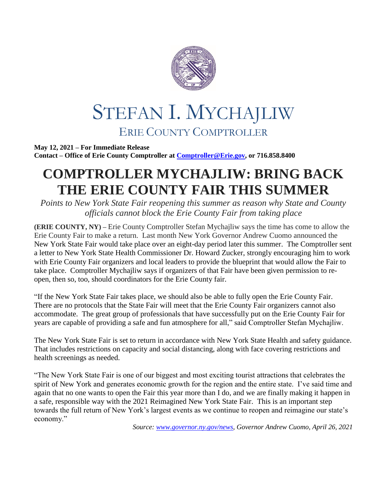

## STEFAN I. MYCHAJLIW ERIE COUNTY COMPTROLLER

**May 12, 2021 – For Immediate Release Contact – Office of Erie County Comptroller at [Comptroller@Erie.gov,](mailto:Comptroller@Erie.gov) or 716.858.8400**

## **COMPTROLLER MYCHAJLIW: BRING BACK THE ERIE COUNTY FAIR THIS SUMMER**

*Points to New York State Fair reopening this summer as reason why State and County officials cannot block the Erie County Fair from taking place*

**(ERIE COUNTY, NY) –** Erie County Comptroller Stefan Mychajliw says the time has come to allow the Erie County Fair to make a return. Last month New York Governor Andrew Cuomo announced the New York State Fair would take place over an eight-day period later this summer. The Comptroller sent a letter to New York State Health Commissioner Dr. Howard Zucker, strongly encouraging him to work with Erie County Fair organizers and local leaders to provide the blueprint that would allow the Fair to take place. Comptroller Mychajliw says if organizers of that Fair have been given permission to reopen, then so, too, should coordinators for the Erie County fair.

"If the New York State Fair takes place, we should also be able to fully open the Erie County Fair. There are no protocols that the State Fair will meet that the Erie County Fair organizers cannot also accommodate. The great group of professionals that have successfully put on the Erie County Fair for years are capable of providing a safe and fun atmosphere for all," said Comptroller Stefan Mychajliw.

The New York State Fair is set to return in accordance with New York State Health and safety guidance. That includes restrictions on capacity and social distancing, along with face covering restrictions and health screenings as needed.

"The New York State Fair is one of our biggest and most exciting tourist attractions that celebrates the spirit of New York and generates economic growth for the region and the entire state. I've said time and again that no one wants to open the Fair this year more than I do, and we are finally making it happen in a safe, responsible way with the 2021 Reimagined New York State Fair. This is an important step towards the full return of New York's largest events as we continue to reopen and reimagine our state's economy."

*Source: [www.governor.ny.gov/news,](http://www.governor.ny.gov/news) Governor Andrew Cuomo, April 26, 2021*